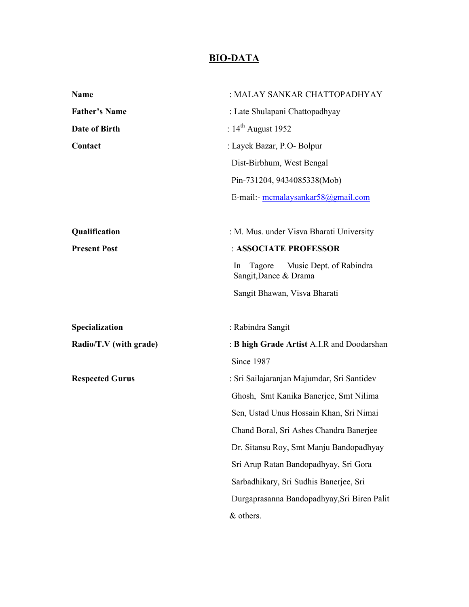## **BIO-DATA**

| Name                   | : MALAY SANKAR CHATTOPADHYAY                                     |
|------------------------|------------------------------------------------------------------|
| <b>Father's Name</b>   | : Late Shulapani Chattopadhyay                                   |
| Date of Birth          | : $14^{\text{th}}$ August 1952                                   |
| Contact                | : Layek Bazar, P.O- Bolpur                                       |
|                        | Dist-Birbhum, West Bengal                                        |
|                        | Pin-731204, 9434085338(Mob)                                      |
|                        | E-mail:- mcmalaysankar58@gmail.com                               |
| Qualification          | : M. Mus. under Visva Bharati University                         |
| <b>Present Post</b>    | : ASSOCIATE PROFESSOR                                            |
|                        | Music Dept. of Rabindra<br>Tagore<br>In<br>Sangit, Dance & Drama |
|                        | Sangit Bhawan, Visva Bharati                                     |
| Specialization         | : Rabindra Sangit                                                |
| Radio/T.V (with grade) | : <b>B high Grade Artist A.I.R and Doodarshan</b>                |
|                        | Since 1987                                                       |
| <b>Respected Gurus</b> | : Sri Sailajaranjan Majumdar, Sri Santidev                       |
|                        | Ghosh, Smt Kanika Banerjee, Smt Nilima                           |
|                        | Sen, Ustad Unus Hossain Khan, Sri Nimai                          |
|                        | Chand Boral, Sri Ashes Chandra Banerjee                          |
|                        | Dr. Sitansu Roy, Smt Manju Bandopadhyay                          |
|                        | Sri Arup Ratan Bandopadhyay, Sri Gora                            |
|                        | Sarbadhikary, Sri Sudhis Banerjee, Sri                           |
|                        | Durgaprasanna Bandopadhyay, Sri Biren Palit                      |
|                        | & others.                                                        |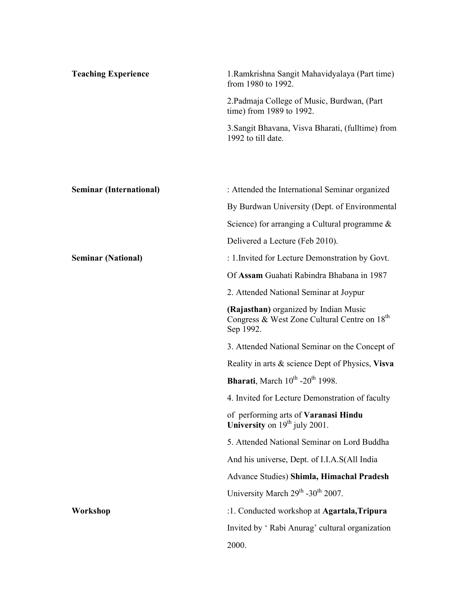| <b>Teaching Experience</b>     | 1. Ramkrishna Sangit Mahavidyalaya (Part time)<br>from 1980 to 1992.                                           |
|--------------------------------|----------------------------------------------------------------------------------------------------------------|
|                                | 2. Padmaja College of Music, Burdwan, (Part<br>time) from 1989 to 1992.                                        |
|                                | 3. Sangit Bhavana, Visva Bharati, (fulltime) from<br>1992 to till date.                                        |
|                                |                                                                                                                |
| <b>Seminar (International)</b> | : Attended the International Seminar organized                                                                 |
|                                | By Burdwan University (Dept. of Environmental                                                                  |
|                                | Science) for arranging a Cultural programme $\&$                                                               |
|                                | Delivered a Lecture (Feb 2010).                                                                                |
| <b>Seminar (National)</b>      | : 1. Invited for Lecture Demonstration by Govt.                                                                |
|                                | Of Assam Guahati Rabindra Bhabana in 1987                                                                      |
|                                | 2. Attended National Seminar at Joypur                                                                         |
|                                | (Rajasthan) organized by Indian Music<br>Congress & West Zone Cultural Centre on 18 <sup>th</sup><br>Sep 1992. |
|                                | 3. Attended National Seminar on the Concept of                                                                 |
|                                | Reality in arts & science Dept of Physics, Visva                                                               |
|                                | <b>Bharati</b> , March $10^{th}$ -20 <sup>th</sup> 1998.                                                       |
|                                | 4. Invited for Lecture Demonstration of faculty                                                                |
|                                | of performing arts of Varanasi Hindu<br>University on $19th$ july 2001.                                        |
|                                | 5. Attended National Seminar on Lord Buddha                                                                    |
|                                | And his universe, Dept. of I.I.A.S(All India                                                                   |
|                                | Advance Studies) Shimla, Himachal Pradesh                                                                      |
|                                | University March 29 <sup>th</sup> -30 <sup>th</sup> 2007.                                                      |
| Workshop                       | :1. Conducted workshop at Agartala, Tripura                                                                    |
|                                | Invited by 'Rabi Anurag' cultural organization                                                                 |
|                                | 2000.                                                                                                          |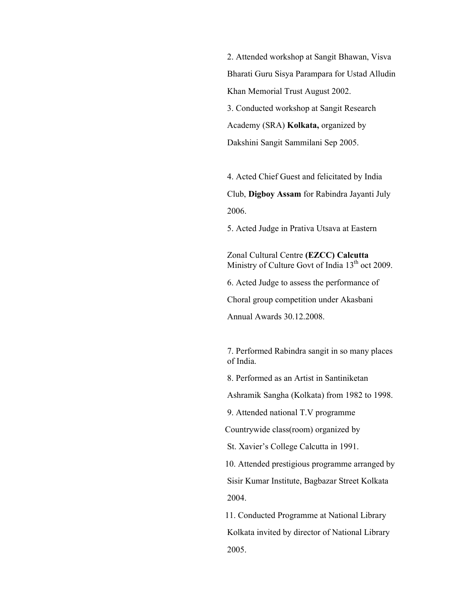2. Attended workshop at Sangit Bhawan, Visva Bharati Guru Sisya Parampara for Ustad Alludin Khan Memorial Trust August 2002. 3. Conducted workshop at Sangit Research Academy (SRA) **Kolkata,** organized by Dakshini Sangit Sammilani Sep 2005.

 4. Acted Chief Guest and felicitated by India Club, **Digboy Assam** for Rabindra Jayanti July 2006.

5. Acted Judge in Prativa Utsava at Eastern

Zonal Cultural Centre **(EZCC) Calcutta** Ministry of Culture Govt of India 13<sup>th</sup> oct 2009.

6. Acted Judge to assess the performance of

Choral group competition under Akasbani

Annual Awards 30.12.2008.

 7. Performed Rabindra sangit in so many places of India.

8. Performed as an Artist in Santiniketan

Ashramik Sangha (Kolkata) from 1982 to 1998.

9. Attended national T.V programme

Countrywide class(room) organized by

St. Xavier's College Calcutta in 1991.

10. Attended prestigious programme arranged by

 Sisir Kumar Institute, Bagbazar Street Kolkata 2004.

 11. Conducted Programme at National Library Kolkata invited by director of National Library 2005.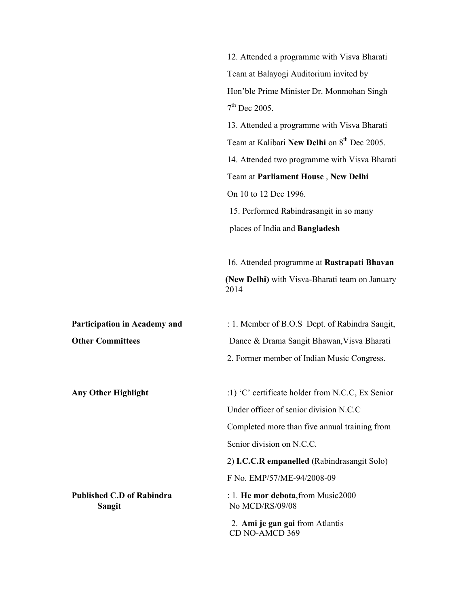|                                                   | 12. Attended a programme with Visva Bharati             |
|---------------------------------------------------|---------------------------------------------------------|
|                                                   | Team at Balayogi Auditorium invited by                  |
|                                                   | Hon'ble Prime Minister Dr. Monmohan Singh               |
|                                                   | $7th$ Dec 2005.                                         |
|                                                   | 13. Attended a programme with Visva Bharati             |
|                                                   | Team at Kalibari New Delhi on 8 <sup>th</sup> Dec 2005. |
|                                                   | 14. Attended two programme with Visva Bharati           |
|                                                   | Team at Parliament House, New Delhi                     |
|                                                   | On 10 to 12 Dec 1996.                                   |
|                                                   | 15. Performed Rabindrasangit in so many                 |
|                                                   | places of India and Bangladesh                          |
|                                                   | 16. Attended programme at Rastrapati Bhavan             |
|                                                   | (New Delhi) with Visva-Bharati team on January<br>2014  |
| <b>Participation in Academy and</b>               | : 1. Member of B.O.S Dept. of Rabindra Sangit,          |
| <b>Other Committees</b>                           | Dance & Drama Sangit Bhawan, Visva Bharati              |
|                                                   | 2. Former member of Indian Music Congress.              |
| Any Other Highlight                               | :1) 'C' certificate holder from N.C.C, Ex Senior        |
|                                                   | Under officer of senior division N.C.C.                 |
|                                                   | Completed more than five annual training from           |
|                                                   | Senior division on N.C.C.                               |
|                                                   | 2) I.C.C.R empanelled (Rabindrasangit Solo)             |
|                                                   | F No. EMP/57/ME-94/2008-09                              |
| <b>Published C.D of Rabindra</b><br><b>Sangit</b> | : 1. He mor debota, from Music2000<br>No MCD/RS/09/08   |
|                                                   |                                                         |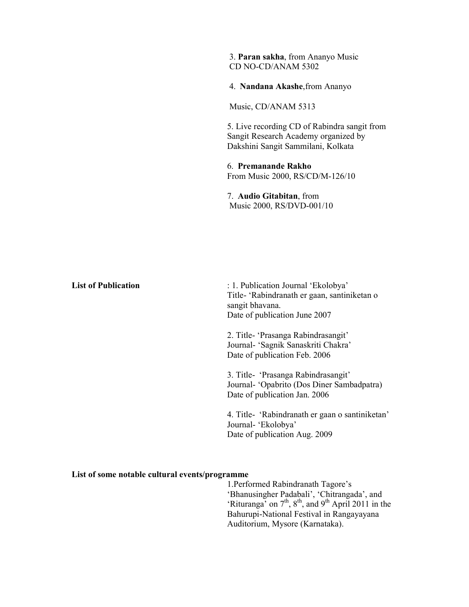3. **Paran sakha**, from Ananyo Music CD NO-CD/ANAM 5302

4. **Nandana Akashe**,from Ananyo

Music, CD/ANAM 5313

 5. Live recording CD of Rabindra sangit from Sangit Research Academy organized by Dakshini Sangit Sammilani, Kolkata

 6. **Premanande Rakho** From Music 2000, RS/CD/M-126/10

 7. **Audio Gitabitan**, from Music 2000, RS/DVD-001/10

| <b>List of Publication</b> | : 1. Publication Journal 'Ekolobya'<br>Title- 'Rabindranath er gaan, santiniketan o<br>sangit bhavana.<br>Date of publication June 2007 |
|----------------------------|-----------------------------------------------------------------------------------------------------------------------------------------|
|                            | 2. Title- 'Prasanga Rabindrasangit'<br>Journal- 'Sagnik Sanaskriti Chakra'<br>Date of publication Feb. 2006                             |
|                            | 3. Title- 'Prasanga Rabindrasangit'<br>Journal- 'Opabrito (Dos Diner Sambadpatra)<br>Date of publication Jan. 2006                      |
|                            | 4. Title- 'Rabindranath er gaan o santiniketan'<br>Journal- 'Ekolobya'<br>Date of publication Aug. 2009                                 |

## **List of some notable cultural events/programme**

1.Performed Rabindranath Tagore's 'Bhanusingher Padabali', 'Chitrangada', and 'Rituranga' on  $7<sup>th</sup>$ ,  $8<sup>th</sup>$ , and  $9<sup>th</sup>$  April 2011 in the Bahurupi-National Festival in Rangayayana Auditorium, Mysore (Karnataka).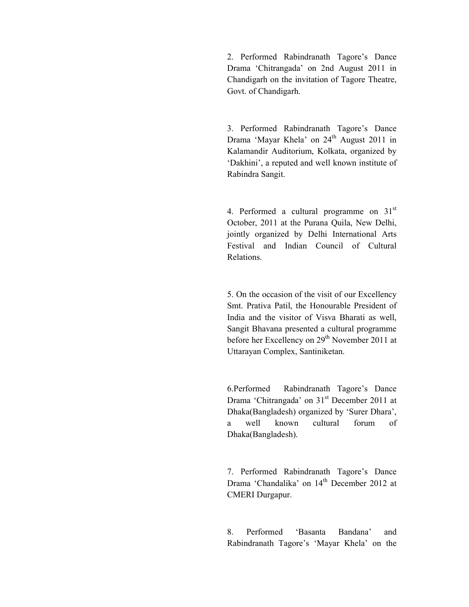2. Performed Rabindranath Tagore's Dance Drama 'Chitrangada' on 2nd August 2011 in Chandigarh on the invitation of Tagore Theatre, Govt. of Chandigarh.

3. Performed Rabindranath Tagore's Dance Drama 'Mayar Khela' on 24<sup>th</sup> August 2011 in Kalamandir Auditorium, Kolkata, organized by 'Dakhini', a reputed and well known institute of Rabindra Sangit.

4. Performed a cultural programme on  $31<sup>st</sup>$ October, 2011 at the Purana Quila, New Delhi, jointly organized by Delhi International Arts Festival and Indian Council of Cultural Relations.

5. On the occasion of the visit of our Excellency Smt. Prativa Patil, the Honourable President of India and the visitor of Visva Bharati as well, Sangit Bhavana presented a cultural programme before her Excellency on 29<sup>th</sup> November 2011 at Uttarayan Complex, Santiniketan.

6.Performed Rabindranath Tagore's Dance Drama 'Chitrangada' on 31<sup>st</sup> December 2011 at Dhaka(Bangladesh) organized by 'Surer Dhara', a well known cultural forum of Dhaka(Bangladesh).

7. Performed Rabindranath Tagore's Dance Drama 'Chandalika' on  $14<sup>th</sup>$  December 2012 at CMERI Durgapur.

8. Performed 'Basanta Bandana' and Rabindranath Tagore's 'Mayar Khela' on the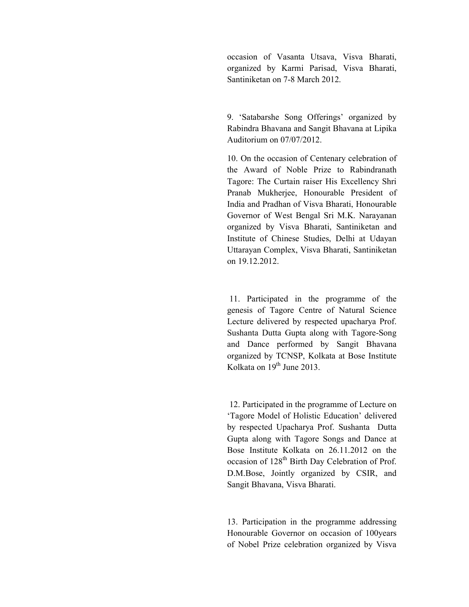occasion of Vasanta Utsava, Visva Bharati, organized by Karmi Parisad, Visva Bharati, Santiniketan on 7-8 March 2012.

9. 'Satabarshe Song Offerings' organized by Rabindra Bhavana and Sangit Bhavana at Lipika Auditorium on 07/07/2012.

10. On the occasion of Centenary celebration of the Award of Noble Prize to Rabindranath Tagore: The Curtain raiser His Excellency Shri Pranab Mukherjee, Honourable President of India and Pradhan of Visva Bharati, Honourable Governor of West Bengal Sri M.K. Narayanan organized by Visva Bharati, Santiniketan and Institute of Chinese Studies, Delhi at Udayan Uttarayan Complex, Visva Bharati, Santiniketan on 19.12.2012.

 11. Participated in the programme of the genesis of Tagore Centre of Natural Science Lecture delivered by respected upacharya Prof. Sushanta Dutta Gupta along with Tagore-Song and Dance performed by Sangit Bhavana organized by TCNSP, Kolkata at Bose Institute Kolkata on 19<sup>th</sup> June 2013.

 12. Participated in the programme of Lecture on 'Tagore Model of Holistic Education' delivered by respected Upacharya Prof. Sushanta Dutta Gupta along with Tagore Songs and Dance at Bose Institute Kolkata on 26.11.2012 on the occasion of 128<sup>th</sup> Birth Day Celebration of Prof. D.M.Bose, Jointly organized by CSIR, and Sangit Bhavana, Visva Bharati.

13. Participation in the programme addressing Honourable Governor on occasion of 100years of Nobel Prize celebration organized by Visva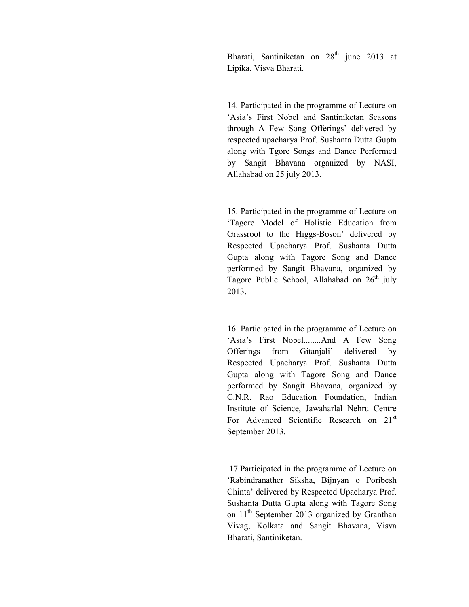Bharati, Santiniketan on  $28<sup>th</sup>$  june 2013 at Lipika, Visva Bharati.

14. Participated in the programme of Lecture on 'Asia's First Nobel and Santiniketan Seasons through A Few Song Offerings' delivered by respected upacharya Prof. Sushanta Dutta Gupta along with Tgore Songs and Dance Performed by Sangit Bhavana organized by NASI, Allahabad on 25 july 2013.

15. Participated in the programme of Lecture on 'Tagore Model of Holistic Education from Grassroot to the Higgs-Boson' delivered by Respected Upacharya Prof. Sushanta Dutta Gupta along with Tagore Song and Dance performed by Sangit Bhavana, organized by Tagore Public School, Allahabad on  $26<sup>th</sup>$  july 2013.

16. Participated in the programme of Lecture on 'Asia's First Nobel........And A Few Song Offerings from Gitanjali' delivered by Respected Upacharya Prof. Sushanta Dutta Gupta along with Tagore Song and Dance performed by Sangit Bhavana, organized by C.N.R. Rao Education Foundation, Indian Institute of Science, Jawaharlal Nehru Centre For Advanced Scientific Research on 21<sup>st</sup> September 2013.

 17.Participated in the programme of Lecture on 'Rabindranather Siksha, Bijnyan o Poribesh Chinta' delivered by Respected Upacharya Prof. Sushanta Dutta Gupta along with Tagore Song on 11<sup>th</sup> September 2013 organized by Granthan Vivag, Kolkata and Sangit Bhavana, Visva Bharati, Santiniketan.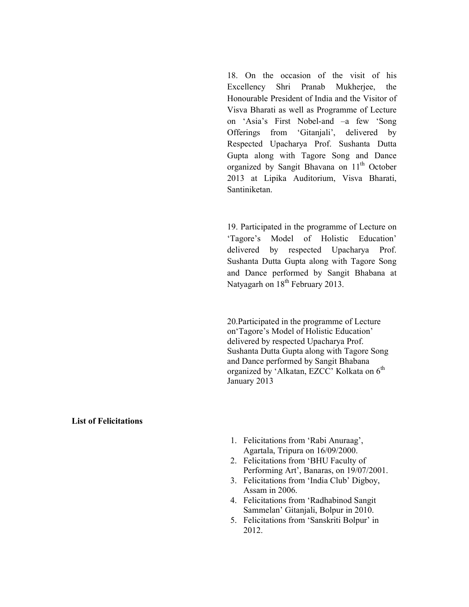18. On the occasion of the visit of his Excellency Shri Pranab Mukherjee, the Honourable President of India and the Visitor of Visva Bharati as well as Programme of Lecture on 'Asia's First Nobel-and –a few 'Song Offerings from 'Gitanjali', delivered by Respected Upacharya Prof. Sushanta Dutta Gupta along with Tagore Song and Dance organized by Sangit Bhavana on 11<sup>th</sup> October 2013 at Lipika Auditorium, Visva Bharati, Santiniketan.

19. Participated in the programme of Lecture on 'Tagore's Model of Holistic Education' delivered by respected Upacharya Prof. Sushanta Dutta Gupta along with Tagore Song and Dance performed by Sangit Bhabana at Natyagarh on 18<sup>th</sup> February 2013.

20.Participated in the programme of Lecture on'Tagore's Model of Holistic Education' delivered by respected Upacharya Prof. Sushanta Dutta Gupta along with Tagore Song and Dance performed by Sangit Bhabana organized by 'Alkatan, EZCC' Kolkata on 6<sup>th</sup> January 2013

## **List of Felicitations**

- 1. Felicitations from 'Rabi Anuraag', Agartala, Tripura on 16/09/2000.
- 2. Felicitations from 'BHU Faculty of Performing Art', Banaras, on 19/07/2001.
- 3. Felicitations from 'India Club' Digboy, Assam in 2006.
- 4. Felicitations from 'Radhabinod Sangit Sammelan' Gitanjali, Bolpur in 2010.
- 5. Felicitations from 'Sanskriti Bolpur' in 2012.